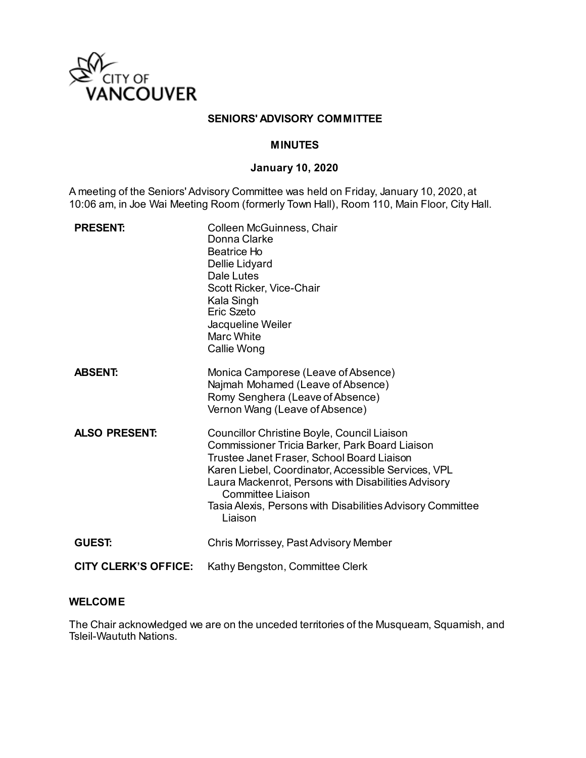

#### **SENIORS' ADVISORY COMMITTEE**

#### **MINUTES**

# **January 10, 2020**

A meeting of the Seniors' Advisory Committee was held on Friday, January 10, 2020, at 10:06 am, in Joe Wai Meeting Room (formerly Town Hall), Room 110, Main Floor, City Hall.

| <b>PRESENT:</b>             | Colleen McGuinness, Chair<br>Donna Clarke<br>Beatrice Ho<br>Dellie Lidyard<br>Dale Lutes<br>Scott Ricker, Vice-Chair<br>Kala Singh<br>Eric Szeto<br>Jacqueline Weiler<br>Marc White<br>Callie Wong                                                                                                                                                      |
|-----------------------------|---------------------------------------------------------------------------------------------------------------------------------------------------------------------------------------------------------------------------------------------------------------------------------------------------------------------------------------------------------|
| <b>ABSENT:</b>              | Monica Camporese (Leave of Absence)<br>Najmah Mohamed (Leave of Absence)<br>Romy Senghera (Leave of Absence)<br>Vernon Wang (Leave of Absence)                                                                                                                                                                                                          |
| <b>ALSO PRESENT:</b>        | Councillor Christine Boyle, Council Liaison<br>Commissioner Tricia Barker, Park Board Liaison<br>Trustee Janet Fraser, School Board Liaison<br>Karen Liebel, Coordinator, Accessible Services, VPL<br>Laura Mackenrot, Persons with Disabilities Advisory<br>Committee Liaison<br>Tasia Alexis, Persons with Disabilities Advisory Committee<br>Liaison |
| <b>GUEST:</b>               | Chris Morrissey, Past Advisory Member                                                                                                                                                                                                                                                                                                                   |
| <b>CITY CLERK'S OFFICE:</b> | Kathy Bengston, Committee Clerk                                                                                                                                                                                                                                                                                                                         |

# **WELCOME**

The Chair acknowledged we are on the unceded territories of the Musqueam, Squamish, and Tsleil-Waututh Nations.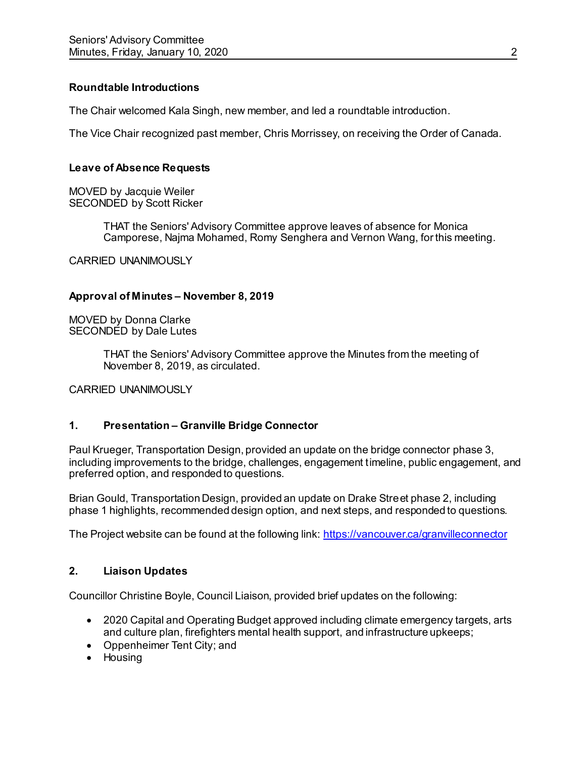### **Roundtable Introductions**

The Chair welcomed Kala Singh, new member, and led a roundtable introduction.

The Vice Chair recognized past member, Chris Morrissey, on receiving the Order of Canada.

# **Leave of Absence Requests**

MOVED by Jacquie Weiler SECONDED by Scott Ricker

> THAT the Seniors' Advisory Committee approve leaves of absence for Monica Camporese, Najma Mohamed, Romy Senghera and Vernon Wang, for this meeting.

CARRIED UNANIMOUSLY

### **Approval of Minutes – November 8, 2019**

MOVED by Donna Clarke SECONDED by Dale Lutes

> THAT the Seniors' Advisory Committee approve the Minutes from the meeting of November 8, 2019, as circulated.

CARRIED UNANIMOUSLY

### **1. Presentation – Granville Bridge Connector**

Paul Krueger, Transportation Design, provided an update on the bridge connector phase 3, including improvements to the bridge, challenges, engagement timeline, public engagement, and preferred option, and responded to questions.

Brian Gould, Transportation Design, provided an update on Drake Street phase 2, including phase 1 highlights, recommended design option, and next steps, and responded to questions.

The Project website can be found at the following link:<https://vancouver.ca/granvilleconnector>

### **2. Liaison Updates**

Councillor Christine Boyle, Council Liaison, provided brief updates on the following:

- 2020 Capital and Operating Budget approved including climate emergency targets, arts and culture plan, firefighters mental health support, and infrastructure upkeeps;
- Oppenheimer Tent City; and
- Housing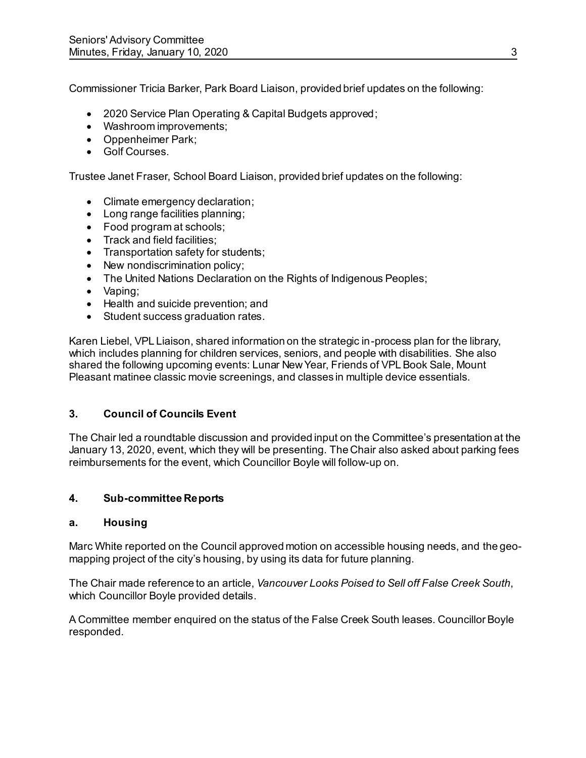Commissioner Tricia Barker, Park Board Liaison, provided brief updates on the following:

- 2020 Service Plan Operating & Capital Budgets approved;
- Washroom improvements;
- Oppenheimer Park;
- Golf Courses.

Trustee Janet Fraser, School Board Liaison, provided brief updates on the following:

- Climate emergency declaration:
- Long range facilities planning;
- Food program at schools;
- Track and field facilities;
- Transportation safety for students;
- New nondiscrimination policy;
- The United Nations Declaration on the Rights of Indigenous Peoples;
- Vaping:
- Health and suicide prevention; and
- Student success graduation rates.

Karen Liebel, VPL Liaison, shared information on the strategic in-process plan for the library, which includes planning for children services, seniors, and people with disabilities. She also shared the following upcoming events: Lunar New Year, Friends of VPL Book Sale, Mount Pleasant matinee classic movie screenings, and classes in multiple device essentials.

### **3. Council of Councils Event**

The Chair led a roundtable discussion and provided input on the Committee's presentation at the January 13, 2020, event, which they will be presenting. The Chair also asked about parking fees reimbursements for the event, which Councillor Boyle will follow-up on.

### **4. Sub-committee Reports**

#### **a. Housing**

Marc White reported on the Council approved motion on accessible housing needs, and the geomapping project of the city's housing, by using its data for future planning.

The Chair made reference to an article, *Vancouver Looks Poised to Sell off False Creek South*, which Councillor Boyle provided details.

A Committee member enquired on the status of the False Creek South leases. Councillor Boyle responded.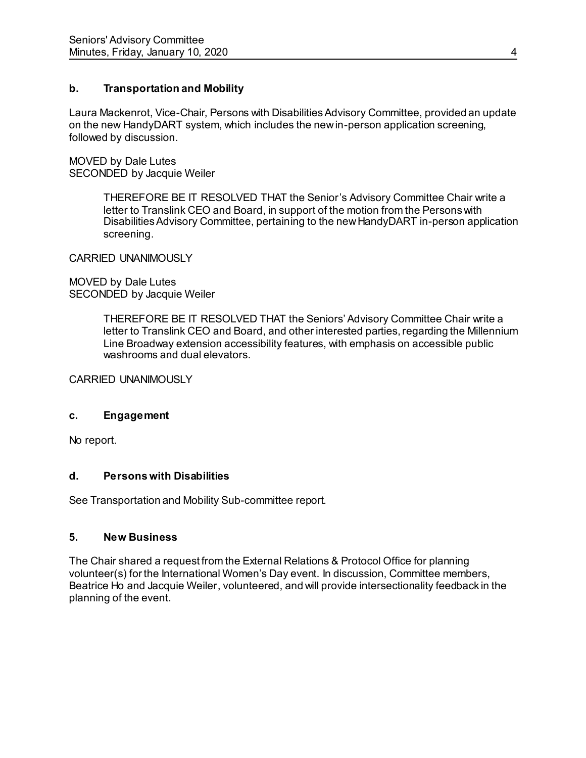### **b. Transportation and Mobility**

Laura Mackenrot, Vice-Chair, Persons with Disabilities Advisory Committee, provided an update on the new HandyDART system, which includes the new in-person application screening, followed by discussion.

MOVED by Dale Lutes SECONDED by Jacquie Weiler

> THEREFORE BE IT RESOLVED THAT the Senior's Advisory Committee Chair write a letter to Translink CEO and Board, in support of the motion from the Persons with Disabilities Advisory Committee, pertaining to the new HandyDART in-person application screening.

CARRIED UNANIMOUSLY

MOVED by Dale Lutes SECONDED by Jacquie Weiler

> THEREFORE BE IT RESOLVED THAT the Seniors' Advisory Committee Chair write a letter to Translink CEO and Board, and other interested parties, regarding the Millennium Line Broadway extension accessibility features, with emphasis on accessible public washrooms and dual elevators.

CARRIED UNANIMOUSLY

#### **c. Engagement**

No report.

### **d. Persons with Disabilities**

See Transportation and Mobility Sub-committee report.

### **5. New Business**

The Chair shared a request from the External Relations & Protocol Office for planning volunteer(s) for the International Women's Day event. In discussion, Committee members, Beatrice Ho and Jacquie Weiler, volunteered, and will provide intersectionality feedback in the planning of the event.